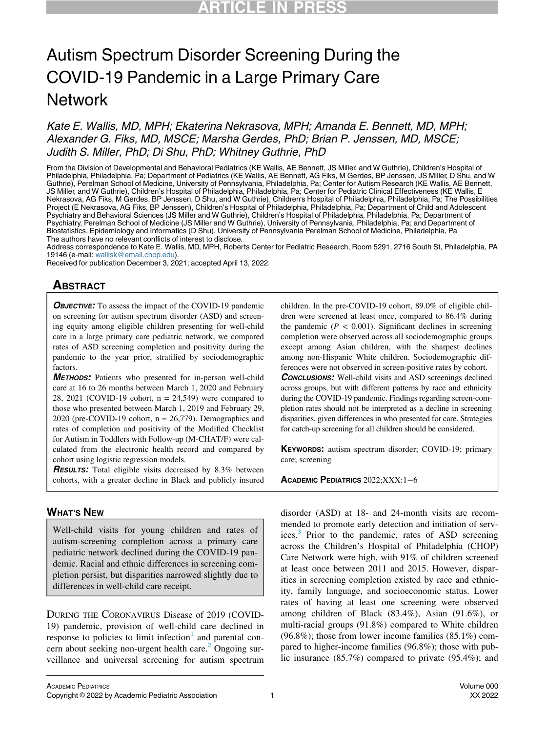# Autism Spectrum Disorder Screening During the COVID-19 Pandemic in a Large Primary Care **Network**

Kate E. Wallis, MD, MPH; Ekaterina Nekrasova, MPH; Amanda E. Bennett, MD, MPH; Alexander G. Fiks, MD, MSCE; Marsha Gerdes, PhD; Brian P. Jenssen, MD, MSCE; Judith S. Miller, PhD; Di Shu, PhD; Whitney Guthrie, PhD

From the Division of Developmental and Behavioral Pediatrics (KE Wallis, AE Bennett, JS Miller, and W Guthrie), Children's Hospital of Philadelphia, Philadelphia, Pa; Department of Pediatrics (KE Wallis, AE Bennett, AG Fiks, M Gerdes, BP Jenssen, JS Miller, D Shu, and W Guthrie), Perelman School of Medicine, University of Pennsylvania, Philadelphia, Pa; Center for Autism Research (KE Wallis, AE Bennett, JS Miller, and W Guthrie), Children's Hospital of Philadelphia, Philadelphia, Pa; Center for Pediatric Clinical Effectiveness (KE Wallis, E Nekrasova, AG Fiks, M Gerdes, BP Jenssen, D Shu, and W Guthrie), Children's Hospital of Philadelphia, Philadelphia, Pa; The Possibilities Project (E Nekrasova, AG Fiks, BP Jenssen), Children's Hospital of Philadelphia, Philadelphia, Pa; Department of Child and Adolescent Psychiatry and Behavioral Sciences (JS Miller and W Guthrie), Children's Hospital of Philadelphia, Philadelphia, Pa; Department of Psychiatry, Perelman School of Medicine (JS Miller and W Guthrie), University of Pennsylvania, Philadelphia, Pa; and Department of Biostatistics, Epidemiology and Informatics (D Shu), University of Pennsylvania Perelman School of Medicine, Philadelphia, Pa The authors have no relevant conflicts of interest to disclose.

Address correspondence to Kate E. Wallis, MD, MPH, Roberts Center for Pediatric Research, Room 5291, 2716 South St, Philadelphia, PA 19146 (e-mail: [wallisk@email.chop.edu\)](mailto:wallisk@email.chop.edu).

Received for publication December 3, 2021; accepted April 13, 2022.

## **ABSTRACT** <u>ABSTRACT</u>

**OBJECTIVE:** To assess the impact of the COVID-19 pandemic on screening for autism spectrum disorder (ASD) and screening equity among eligible children presenting for well-child care in a large primary care pediatric network, we compared rates of ASD screening completion and positivity during the pandemic to the year prior, stratified by sociodemographic factors.

METHODS: Patients who presented for in-person well-child care at 16 to 26 months between March 1, 2020 and February 28, 2021 (COVID-19 cohort,  $n = 24,549$ ) were compared to those who presented between March 1, 2019 and February 29, 2020 (pre-COVID-19 cohort,  $n = 26,779$ ). Demographics and rates of completion and positivity of the Modified Checklist for Autism in Toddlers with Follow-up (M-CHAT/F) were calculated from the electronic health record and compared by cohort using logistic regression models.

**RESULTS:** Total eligible visits decreased by 8.3% between cohorts, with a greater decline in Black and publicly insured

# <u>when the common</u>

Well-child visits for young children and rates of autism-screening completion across a primary care pediatric network declined during the COVID-19 pandemic. Racial and ethnic differences in screening completion persist, but disparities narrowed slightly due to differences in well-child care receipt.

DURING THE CORONAVIRUS Disease of 2019 (COVID-19) pandemic, provision of well-child care declined in response to policies to limit infection<sup>[1](#page-5-0)</sup> and parental con-cern about seeking non-urgent health care.<sup>[2](#page-5-1)</sup> Ongoing surveillance and universal screening for autism spectrum

children. In the pre-COVID-19 cohort, 89.0% of eligible children were screened at least once, compared to 86.4% during the pandemic ( $P < 0.001$ ). Significant declines in screening completion were observed across all sociodemographic groups except among Asian children, with the sharpest declines among non-Hispanic White children. Sociodemographic differences were not observed in screen-positive rates by cohort.

**CONCLUSIONS:** Well-child visits and ASD screenings declined across groups, but with different patterns by race and ethnicity during the COVID-19 pandemic. Findings regarding screen-completion rates should not be interpreted as a decline in screening disparities, given differences in who presented for care. Strategies for catch-up screening for all children should be considered.

KEYWORDS: autism spectrum disorder; COVID-19; primary care; screening

ACADEMIC PEDIATRICS 2022;XXX:1−<sup>6</sup>

disorder (ASD) at 18- and 24-month visits are recommended to promote early detection and initiation of services.[3](#page-5-2) Prior to the pandemic, rates of ASD screening across the Children's Hospital of Philadelphia (CHOP) Care Network were high, with 91% of children screened at least once between 2011 and 2015. However, disparities in screening completion existed by race and ethnicity, family language, and socioeconomic status. Lower rates of having at least one screening were observed among children of Black (83.4%), Asian (91.6%), or multi-racial groups (91.8%) compared to White children  $(96.8\%)$ ; those from lower income families  $(85.1\%)$  compared to higher-income families (96.8%); those with public insurance (85.7%) compared to private (95.4%); and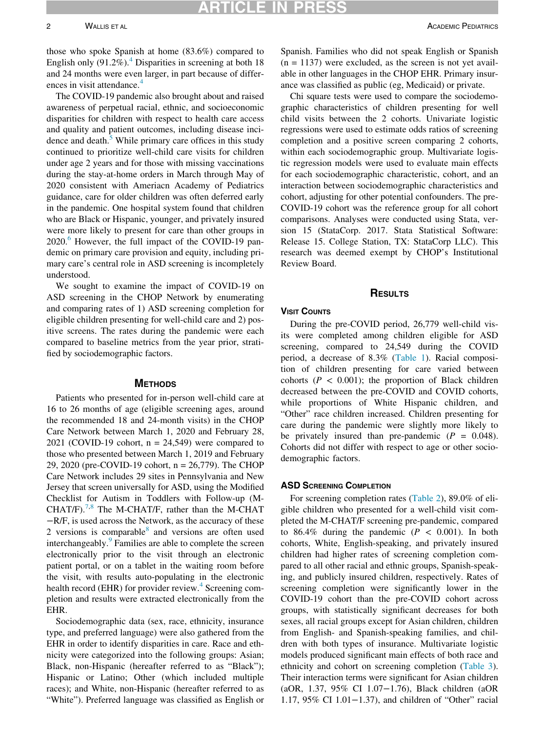those who spoke Spanish at home (83.6%) compared to English only  $(91.2\%)$ <sup>[4](#page-5-3)</sup> Disparities in screening at both 18 and 24 months were even larger, in part because of differ-ences in visit attendance.<sup>[4](#page-5-3)</sup>

The COVID-19 pandemic also brought about and raised awareness of perpetual racial, ethnic, and socioeconomic disparities for children with respect to health care access and quality and patient outcomes, including disease incidence and death.<sup>5</sup> While primary care offices in this study continued to prioritize well-child care visits for children under age 2 years and for those with missing vaccinations during the stay-at-home orders in March through May of 2020 consistent with Ameriacn Academy of Pediatrics guidance, care for older children was often deferred early in the pandemic. One hospital system found that children who are Black or Hispanic, younger, and privately insured were more likely to present for care than other groups in 2020.<sup>6</sup> However, the full impact of the COVID-19 pandemic on primary care provision and equity, including primary care's central role in ASD screening is incompletely understood.

We sought to examine the impact of COVID-19 on ASD screening in the CHOP Network by enumerating and comparing rates of 1) ASD screening completion for eligible children presenting for well-child care and 2) positive screens. The rates during the pandemic were each compared to baseline metrics from the year prior, stratified by sociodemographic factors.

Patients who presented for in-person well-child care at 16 to 26 months of age (eligible screening ages, around the recommended 18 and 24-month visits) in the CHOP Care Network between March 1, 2020 and February 28, 2021 (COVID-19 cohort,  $n = 24,549$ ) were compared to those who presented between March 1, 2019 and February 29, 2020 (pre-COVID-19 cohort, n = 26,779). The CHOP Care Network includes 29 sites in Pennsylvania and New Jersey that screen universally for ASD, using the Modified Checklist for Autism in Toddlers with Follow-up (M-CHAT/F).<sup>[7,](#page-5-6)[8](#page-5-7)</sup> The M-CHAT/F, rather than the M-CHAT −R/F, is used across the Network, as the accuracy of these 2 versions is comparable $8$  and versions are often used interchangeably.<sup>[9](#page-5-8)</sup> Families are able to complete the screen electronically prior to the visit through an electronic patient portal, or on a tablet in the waiting room before the visit, with results auto-populating in the electronic health record (EHR) for provider review.<sup>[4](#page-5-3)</sup> Screening completion and results were extracted electronically from the EHR.

Sociodemographic data (sex, race, ethnicity, insurance type, and preferred language) were also gathered from the EHR in order to identify disparities in care. Race and ethnicity were categorized into the following groups: Asian; Black, non-Hispanic (hereafter referred to as "Black"); Hispanic or Latino; Other (which included multiple races); and White, non-Hispanic (hereafter referred to as "White"). Preferred language was classified as English or Spanish. Families who did not speak English or Spanish  $(n = 1137)$  were excluded, as the screen is not yet available in other languages in the CHOP EHR. Primary insurance was classified as public (eg, Medicaid) or private.

Chi square tests were used to compare the sociodemographic characteristics of children presenting for well child visits between the 2 cohorts. Univariate logistic regressions were used to estimate odds ratios of screening completion and a positive screen comparing 2 cohorts, within each sociodemographic group. Multivariate logistic regression models were used to evaluate main effects for each sociodemographic characteristic, cohort, and an interaction between sociodemographic characteristics and cohort, adjusting for other potential confounders. The pre-COVID-19 cohort was the reference group for all cohort comparisons. Analyses were conducted using Stata, version 15 (StataCorp. 2017. Stata Statistical Software: Release 15. College Station, TX: StataCorp LLC). This research was deemed exempt by CHOP's Institutional Review Board.

# RESULTS

## **VISIT COUNTS**

During the pre-COVID period, 26,779 well-child visits were completed among children eligible for ASD screening, compared to 24,549 during the COVID period, a decrease of 8.3% ([Table 1](#page-2-0)). Racial composition of children presenting for care varied between cohorts ( $P < 0.001$ ); the proportion of Black children decreased between the pre-COVID and COVID cohorts, while proportions of White Hispanic children, and "Other" race children increased. Children presenting for care during the pandemic were slightly more likely to be privately insured than pre-pandemic  $(P = 0.048)$ . Cohorts did not differ with respect to age or other sociodemographic factors.

For screening completion rates ([Table 2](#page-3-0)), 89.0% of eligible children who presented for a well-child visit completed the M-CHAT/F screening pre-pandemic, compared to 86.4% during the pandemic  $(P < 0.001)$ . In both cohorts, White, English-speaking, and privately insured children had higher rates of screening completion compared to all other racial and ethnic groups, Spanish-speaking, and publicly insured children, respectively. Rates of screening completion were significantly lower in the COVID-19 cohort than the pre-COVID cohort across groups, with statistically significant decreases for both sexes, all racial groups except for Asian children, children from English- and Spanish-speaking families, and children with both types of insurance. Multivariate logistic models produced significant main effects of both race and ethnicity and cohort on screening completion [\(Table 3](#page-4-0)). Their interaction terms were significant for Asian children (aOR, 1.37, 95% CI 1.07−1.76), Black children (aOR 1.17, 95% CI 1.01−1.37), and children of "Other" racial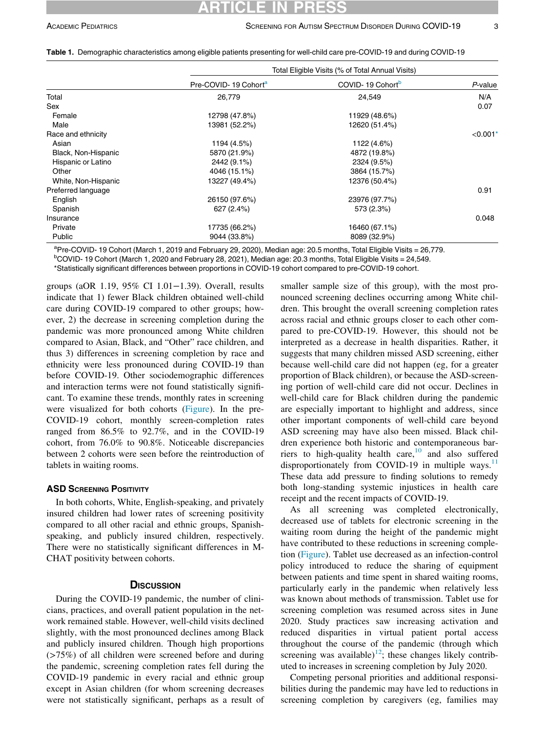## ICLE IN

|                     | Total Eligible Visits (% of Total Annual Visits) |                              |                        |  |  |
|---------------------|--------------------------------------------------|------------------------------|------------------------|--|--|
|                     | Pre-COVID-19 Cohort <sup>a</sup>                 | COVID-19 Cohort <sup>b</sup> | $P$ -value             |  |  |
| Total               | 26,779                                           | 24,549                       | N/A                    |  |  |
| Sex                 |                                                  |                              | 0.07                   |  |  |
| Female              | 12798 (47.8%)                                    | 11929 (48.6%)                |                        |  |  |
| Male                | 13981 (52.2%)                                    | 12620 (51.4%)                |                        |  |  |
| Race and ethnicity  |                                                  |                              | $< 0.001$ <sup>*</sup> |  |  |
| Asian               | 1194 (4.5%)                                      | 1122 (4.6%)                  |                        |  |  |
| Black, Non-Hispanic | 5870 (21.9%)                                     | 4872 (19.8%)                 |                        |  |  |
| Hispanic or Latino  | 2442 (9.1%)                                      | 2324 (9.5%)                  |                        |  |  |
| Other               | 4046 (15.1%)                                     | 3864 (15.7%)                 |                        |  |  |
| White, Non-Hispanic | 13227 (49.4%)                                    | 12376 (50.4%)                |                        |  |  |
| Preferred language  |                                                  |                              | 0.91                   |  |  |
| English             | 26150 (97.6%)                                    | 23976 (97.7%)                |                        |  |  |
| Spanish             | 627(2.4%)                                        | 573 (2.3%)                   |                        |  |  |
| Insurance           |                                                  |                              | 0.048                  |  |  |
| Private             | 17735 (66.2%)                                    | 16460 (67.1%)                |                        |  |  |
| Public              | 9044 (33.8%)                                     | 8089 (32.9%)                 |                        |  |  |

<span id="page-2-0"></span>Table 1. Demographic characteristics among eligible patients presenting for well-child care pre-COVID-19 and during COVID-19

<span id="page-2-2"></span><span id="page-2-1"></span><sup>a</sup>Pre-COVID- 19 Cohort (March 1, 2019 and February 29, 2020), Median age: 20.5 months, Total Eligible Visits = 26,779.

 $b$ COVID- 19 Cohort (March 1, 2020 and February 28, 2021), Median age: 20.3 months, Total Eligible Visits = 24,549.

\*Statistically significant differences between proportions in COVID-19 cohort compared to pre-COVID-19 cohort.

groups (aOR 1.19, 95% CI 1.01−1.39). Overall, results indicate that 1) fewer Black children obtained well-child care during COVID-19 compared to other groups; however, 2) the decrease in screening completion during the pandemic was more pronounced among White children compared to Asian, Black, and "Other" race children, and thus 3) differences in screening completion by race and ethnicity were less pronounced during COVID-19 than before COVID-19. Other sociodemographic differences and interaction terms were not found statistically significant. To examine these trends, monthly rates in screening were visualized for both cohorts [\(Figure](#page-5-9)). In the pre-COVID-19 cohort, monthly screen-completion rates ranged from 86.5% to 92.7%, and in the COVID-19 cohort, from 76.0% to 90.8%. Noticeable discrepancies between 2 cohorts were seen before the reintroduction of tablets in waiting rooms.

### **ASD SCREENING POSITIVITY**

In both cohorts, White, English-speaking, and privately insured children had lower rates of screening positivity compared to all other racial and ethnic groups, Spanishspeaking, and publicly insured children, respectively. There were no statistically significant differences in M-CHAT positivity between cohorts.

During the COVID-19 pandemic, the number of clinicians, practices, and overall patient population in the network remained stable. However, well-child visits declined slightly, with the most pronounced declines among Black and publicly insured children. Though high proportions (>75%) of all children were screened before and during the pandemic, screening completion rates fell during the COVID-19 pandemic in every racial and ethnic group except in Asian children (for whom screening decreases were not statistically significant, perhaps as a result of

smaller sample size of this group), with the most pronounced screening declines occurring among White children. This brought the overall screening completion rates across racial and ethnic groups closer to each other compared to pre-COVID-19. However, this should not be interpreted as a decrease in health disparities. Rather, it suggests that many children missed ASD screening, either because well-child care did not happen (eg, for a greater proportion of Black children), or because the ASD-screening portion of well-child care did not occur. Declines in well-child care for Black children during the pandemic are especially important to highlight and address, since other important components of well-child care beyond ASD screening may have also been missed. Black children experience both historic and contemporaneous barriers to high-quality health care, $10$  and also suffered disproportionately from COVID-19 in multiple ways.<sup>[11](#page-5-11)</sup> These data add pressure to finding solutions to remedy both long-standing systemic injustices in health care receipt and the recent impacts of COVID-19.

As all screening was completed electronically, decreased use of tablets for electronic screening in the waiting room during the height of the pandemic might have contributed to these reductions in screening completion ([Figure\)](#page-5-9). Tablet use decreased as an infection-control policy introduced to reduce the sharing of equipment between patients and time spent in shared waiting rooms, particularly early in the pandemic when relatively less was known about methods of transmission. Tablet use for screening completion was resumed across sites in June 2020. Study practices saw increasing activation and reduced disparities in virtual patient portal access throughout the course of the pandemic (through which screening was available)<sup>[12](#page-5-12)</sup>; these changes likely contributed to increases in screening completion by July 2020.

Competing personal priorities and additional responsibilities during the pandemic may have led to reductions in screening completion by caregivers (eg, families may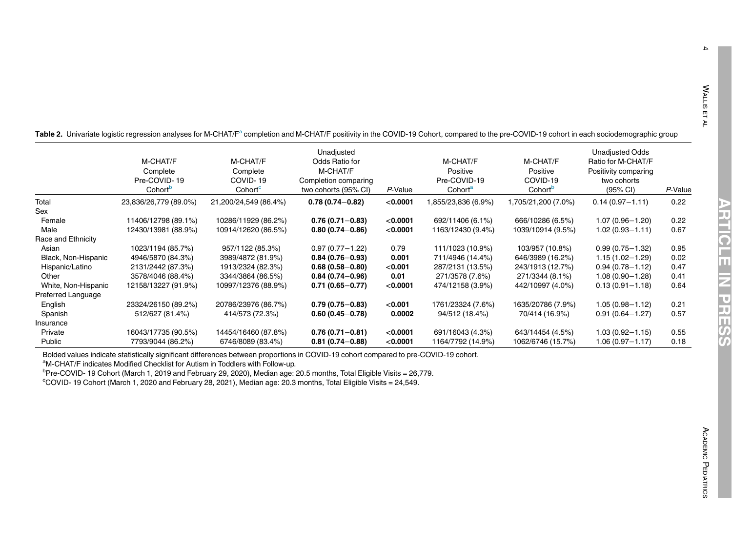<span id="page-3-2"></span><span id="page-3-1"></span> $\blacktriangle$ 

10

<span id="page-3-0"></span>T[a](#page-3-1)ble 2. Univariate logistic regression analyses for M-CHAT/F<sup>a</sup> completion and M-CHAT/F positivity in the COVID-19 Cohort, compared to the pre-COVID-19 cohort in each sociodemographic group

|                     | M-CHAT/F<br>Complete<br>Pre-COVID-19<br>Cohort <sup>b</sup> | M-CHAT/F<br>Complete<br>COVID-19<br>Cohort <sup>c</sup> | Unadjusted<br>Odds Ratio for<br>M-CHAT/F<br>Completion comparing<br>two cohorts (95% CI) | P-Value   | M-CHAT/F<br>Positive<br>Pre-COVID-19<br>Cohort <sup>a</sup> | M-CHAT/F<br>Positive<br>COVID-19<br>Cohort <sup>b</sup> | <b>Unadjusted Odds</b><br>Ratio for M-CHAT/F<br>Positivity comparing<br>two cohorts<br>$(95% \, \text{Cl})$ | P-Value |
|---------------------|-------------------------------------------------------------|---------------------------------------------------------|------------------------------------------------------------------------------------------|-----------|-------------------------------------------------------------|---------------------------------------------------------|-------------------------------------------------------------------------------------------------------------|---------|
| Total               | 23,836/26,779 (89.0%)                                       | 21,200/24,549 (86.4%)                                   | $0.78(0.74 - 0.82)$                                                                      | < 0.0001  | 1,855/23,836 (6.9%)                                         | 1,705/21,200 (7.0%)                                     | $0.14(0.97 - 1.11)$                                                                                         | 0.22    |
| Sex                 |                                                             |                                                         |                                                                                          |           |                                                             |                                                         |                                                                                                             |         |
| Female              | 11406/12798 (89.1%)                                         | 10286/11929 (86.2%)                                     | $0.76(0.71 - 0.83)$                                                                      | < 0.0001  | 692/11406 (6.1%)                                            | 666/10286 (6.5%)                                        | $1.07(0.96 - 1.20)$                                                                                         | 0.22    |
| Male                | 12430/13981 (88.9%)                                         | 10914/12620 (86.5%)                                     | $0.80(0.74 - 0.86)$                                                                      | < 0.0001  | 1163/12430 (9.4%)                                           | 1039/10914 (9.5%)                                       | $1.02(0.93 - 1.11)$                                                                                         | 0.67    |
| Race and Ethnicity  |                                                             |                                                         |                                                                                          |           |                                                             |                                                         |                                                                                                             |         |
| Asian               | 1023/1194 (85.7%)                                           | 957/1122 (85.3%)                                        | $0.97(0.77 - 1.22)$                                                                      | 0.79      | 111/1023 (10.9%)                                            | 103/957 (10.8%)                                         | $0.99(0.75 - 1.32)$                                                                                         | 0.95    |
| Black, Non-Hispanic | 4946/5870 (84.3%)                                           | 3989/4872 (81.9%)                                       | $0.84(0.76 - 0.93)$                                                                      | 0.001     | 711/4946 (14.4%)                                            | 646/3989 (16.2%)                                        | $1.15(1.02 - 1.29)$                                                                                         | 0.02    |
| Hispanic/Latino     | 2131/2442 (87.3%)                                           | 1913/2324 (82.3%)                                       | $0.68(0.58 - 0.80)$                                                                      | $<$ 0.001 | 287/2131 (13.5%)                                            | 243/1913 (12.7%)                                        | $0.94(0.78 - 1.12)$                                                                                         | 0.47    |
| Other               | 3578/4046 (88.4%)                                           | 3344/3864 (86.5%)                                       | $0.84(0.74 - 0.96)$                                                                      | 0.01      | 271/3578 (7.6%)                                             | 271/3344 (8.1%)                                         | $1.08(0.90 - 1.28)$                                                                                         | 0.41    |
| White, Non-Hispanic | 12158/13227 (91.9%)                                         | 10997/12376 (88.9%)                                     | $0.71(0.65 - 0.77)$                                                                      | < 0.0001  | 474/12158 (3.9%)                                            | 442/10997 (4.0%)                                        | $0.13(0.91 - 1.18)$                                                                                         | 0.64    |
| Preferred Language  |                                                             |                                                         |                                                                                          |           |                                                             |                                                         |                                                                                                             |         |
| English             | 23324/26150 (89.2%)                                         | 20786/23976 (86.7%)                                     | $0.79(0.75 - 0.83)$                                                                      | $<$ 0.001 | 1761/23324 (7.6%)                                           | 1635/20786 (7.9%)                                       | $1.05(0.98 - 1.12)$                                                                                         | 0.21    |
| Spanish             | 512/627 (81.4%)                                             | 414/573 (72.3%)                                         | $0.60(0.45 - 0.78)$                                                                      | 0.0002    | 94/512 (18.4%)                                              | 70/414 (16.9%)                                          | $0.91(0.64 - 1.27)$                                                                                         | 0.57    |
| Insurance           |                                                             |                                                         |                                                                                          |           |                                                             |                                                         |                                                                                                             |         |
| Private             | 16043/17735 (90.5%)                                         | 14454/16460 (87.8%)                                     | $0.76(0.71 - 0.81)$                                                                      | < 0.0001  | 691/16043 (4.3%)                                            | 643/14454 (4.5%)                                        | $1.03(0.92 - 1.15)$                                                                                         | 0.55    |
| Public              | 7793/9044 (86.2%)                                           | 6746/8089 (83.4%)                                       | $0.81(0.74 - 0.88)$                                                                      | < 0.0001  | 1164/7792 (14.9%)                                           | 1062/6746 (15.7%)                                       | $1.06(0.97 - 1.17)$                                                                                         | 0.18    |

Bolded values indicate statistically significant differences between proportions in COVID-19 cohort compared to pre-COVID-19 cohort.

aM-CHAT/F indicates Modified Checklist for Autism in Toddlers with Follow-up.

<sup>b</sup>Pre-COVID- 19 Cohort (March 1, 2019 and February 29, 2020), Median age: 20.5 months, Total Eligible Visits = 26,779.

cCOVID- 19 Cohort (March 1, 2020 and February 28, 2021), Median age: 20.3 months, Total Eligible Visits <sup>=</sup> 24,549.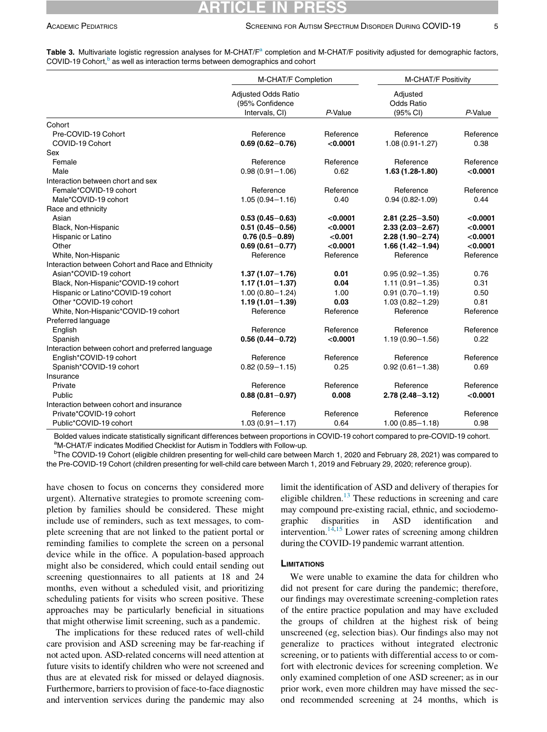|                                                   | M-CHAT/F Completion                                             |           | M-CHAT/F Positivity                       |           |
|---------------------------------------------------|-----------------------------------------------------------------|-----------|-------------------------------------------|-----------|
|                                                   | <b>Adjusted Odds Ratio</b><br>(95% Confidence<br>Intervals, CI) | P-Value   | Adjusted<br><b>Odds Ratio</b><br>(95% CI) | P-Value   |
| Cohort                                            |                                                                 |           |                                           |           |
| Pre-COVID-19 Cohort                               | Reference                                                       | Reference | Reference                                 | Reference |
| COVID-19 Cohort                                   | $0.69(0.62 - 0.76)$                                             | < 0.0001  | 1.08 (0.91-1.27)                          | 0.38      |
| Sex                                               |                                                                 |           |                                           |           |
| Female                                            | Reference                                                       | Reference | Reference                                 | Reference |
| Male                                              | $0.98(0.91 - 1.06)$                                             | 0.62      | 1.63 (1.28-1.80)                          | < 0.0001  |
| Interaction between chort and sex                 |                                                                 |           |                                           |           |
| Female*COVID-19 cohort                            | Reference                                                       | Reference | Reference                                 | Reference |
| Male*COVID-19 cohort                              | $1.05(0.94 - 1.16)$                                             | 0.40      | $0.94(0.82 - 1.09)$                       | 0.44      |
| Race and ethnicity                                |                                                                 |           |                                           |           |
| Asian                                             | $0.53(0.45 - 0.63)$                                             | < 0.0001  | $2.81(2.25 - 3.50)$                       | < 0.0001  |
| Black, Non-Hispanic                               | $0.51(0.45 - 0.56)$                                             | < 0.0001  | $2.33(2.03 - 2.67)$                       | < 0.0001  |
| Hispanic or Latino                                | $0.76(0.5 - 0.89)$                                              | < 0.001   | $2.28(1.90 - 2.74)$                       | < 0.0001  |
| Other                                             | $0.69(0.61 - 0.77)$                                             | < 0.0001  | $1.66(1.42 - 1.94)$                       | < 0.0001  |
| White, Non-Hispanic                               | Reference                                                       | Reference | Reference                                 | Reference |
| Interaction between Cohort and Race and Ethnicity |                                                                 |           |                                           |           |
| Asian*COVID-19 cohort                             | $1.37(1.07 - 1.76)$                                             | 0.01      | $0.95(0.92 - 1.35)$                       | 0.76      |
| Black, Non-Hispanic*COVID-19 cohort               | $1.17(1.01 - 1.37)$                                             | 0.04      | $1.11(0.91 - 1.35)$                       | 0.31      |
| Hispanic or Latino*COVID-19 cohort                | $1.00(0.80 - 1.24)$                                             | 1.00      | $0.91(0.70 - 1.19)$                       | 0.50      |
| Other *COVID-19 cohort                            | $1.19(1.01 - 1.39)$                                             | 0.03      | $1.03(0.82 - 1.29)$                       | 0.81      |
| White, Non-Hispanic*COVID-19 cohort               | Reference                                                       | Reference | Reference                                 | Reference |
| Preferred language                                |                                                                 |           |                                           |           |
| English                                           | Reference                                                       | Reference | Reference                                 | Reference |
| Spanish                                           | $0.56(0.44 - 0.72)$                                             | < 0.0001  | $1.19(0.90 - 1.56)$                       | 0.22      |
| Interaction between cohort and preferred language |                                                                 |           |                                           |           |
| English*COVID-19 cohort                           | Reference                                                       | Reference | Reference                                 | Reference |
| Spanish*COVID-19 cohort                           | $0.82(0.59 - 1.15)$                                             | 0.25      | $0.92(0.61 - 1.38)$                       | 0.69      |
| Insurance                                         |                                                                 |           |                                           |           |
| Private                                           | Reference                                                       | Reference | Reference                                 | Reference |
| Public                                            | $0.88(0.81 - 0.97)$                                             | 0.008     | $2.78(2.48 - 3.12)$                       | < 0.0001  |
| Interaction between cohort and insurance          |                                                                 |           |                                           |           |
| Private*COVID-19 cohort                           | Reference                                                       | Reference | Reference                                 | Reference |
| Public*COVID-19 cohort                            | $1.03(0.91 - 1.17)$                                             | 0.64      | $1.00(0.85 - 1.18)$                       | 0.98      |

<span id="page-4-0"></span>T[a](#page-4-1)ble 3. Multivariate logistic regression analyses for M-CHAT/ $F^a$  completion and M-CHAT/F positivity adjusted for demographic factors, COVID-19 Cohort,<sup>[b](#page-4-1)</sup> as well as interaction terms between demographics and cohort

Bolded values indicate statistically significant differences between proportions in COVID-19 cohort compared to pre-COVID-19 cohort. aM-CHAT/F indicates Modified Checklist for Autism in Toddlers with Follow-up.

<span id="page-4-1"></span><sup>b</sup>The COVID-19 Cohort (eligible children presenting for well-child care between March 1, 2020 and February 28, 2021) was compared to the Pre-COVID-19 Cohort (children presenting for well-child care between March 1, 2019 and February 29, 2020; reference group).

have chosen to focus on concerns they considered more urgent). Alternative strategies to promote screening completion by families should be considered. These might include use of reminders, such as text messages, to complete screening that are not linked to the patient portal or reminding families to complete the screen on a personal device while in the office. A population-based approach might also be considered, which could entail sending out screening questionnaires to all patients at 18 and 24 months, even without a scheduled visit, and prioritizing scheduling patients for visits who screen positive. These approaches may be particularly beneficial in situations that might otherwise limit screening, such as a pandemic.

The implications for these reduced rates of well-child care provision and ASD screening may be far-reaching if not acted upon. ASD-related concerns will need attention at future visits to identify children who were not screened and thus are at elevated risk for missed or delayed diagnosis. Furthermore, barriers to provision of face-to-face diagnostic and intervention services during the pandemic may also

limit the identification of ASD and delivery of therapies for eligible children. $^{13}$  These reductions in screening and care may compound pre-existing racial, ethnic, and sociodemographic disparities in ASD identification and intervention.<sup>14[,15](#page-5-15)</sup> Lower rates of screening among children during the COVID-19 pandemic warrant attention.

### **LIMITATIONS**

We were unable to examine the data for children who did not present for care during the pandemic; therefore, our findings may overestimate screening-completion rates of the entire practice population and may have excluded the groups of children at the highest risk of being unscreened (eg, selection bias). Our findings also may not generalize to practices without integrated electronic screening, or to patients with differential access to or comfort with electronic devices for screening completion. We only examined completion of one ASD screener; as in our prior work, even more children may have missed the second recommended screening at 24 months, which is